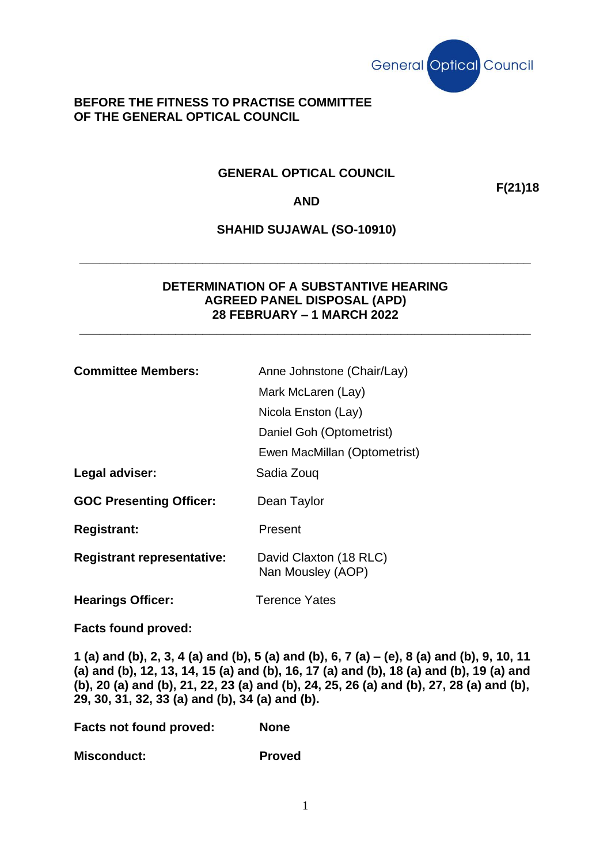

### **BEFORE THE FITNESS TO PRACTISE COMMITTEE OF THE GENERAL OPTICAL COUNCIL**

## **GENERAL OPTICAL COUNCIL**

**F(21)18**

### **AND**

# **SHAHID SUJAWAL (SO-10910)**

**\_\_\_\_\_\_\_\_\_\_\_\_\_\_\_\_\_\_\_\_\_\_\_\_\_\_\_\_\_\_\_\_\_\_\_\_\_\_\_\_\_\_\_\_\_\_\_\_\_\_\_\_\_\_\_\_\_\_\_\_\_\_\_\_\_\_**

### **DETERMINATION OF A SUBSTANTIVE HEARING AGREED PANEL DISPOSAL (APD) 28 FEBRUARY – 1 MARCH 2022**

**\_\_\_\_\_\_\_\_\_\_\_\_\_\_\_\_\_\_\_\_\_\_\_\_\_\_\_\_\_\_\_\_\_\_\_\_\_\_\_\_\_\_\_\_\_\_\_\_\_\_\_\_\_\_\_\_\_\_\_\_\_\_\_\_\_\_**

| <b>Committee Members:</b>         | Anne Johnstone (Chair/Lay)                  |
|-----------------------------------|---------------------------------------------|
|                                   | Mark McLaren (Lay)                          |
|                                   | Nicola Enston (Lay)                         |
|                                   | Daniel Goh (Optometrist)                    |
|                                   | Ewen MacMillan (Optometrist)                |
| Legal adviser:                    | Sadia Zouq                                  |
| <b>GOC Presenting Officer:</b>    | Dean Taylor                                 |
| <b>Registrant:</b>                | Present                                     |
| <b>Registrant representative:</b> | David Claxton (18 RLC)<br>Nan Mousley (AOP) |
| <b>Hearings Officer:</b>          | <b>Terence Yates</b>                        |
| <b>Facts found proved:</b>        |                                             |

**1 (a) and (b), 2, 3, 4 (a) and (b), 5 (a) and (b), 6, 7 (a) – (e), 8 (a) and (b), 9, 10, 11 (a) and (b), 12, 13, 14, 15 (a) and (b), 16, 17 (a) and (b), 18 (a) and (b), 19 (a) and (b), 20 (a) and (b), 21, 22, 23 (a) and (b), 24, 25, 26 (a) and (b), 27, 28 (a) and (b), 29, 30, 31, 32, 33 (a) and (b), 34 (a) and (b).** 

**Facts not found proved: None**

**Misconduct: Proved**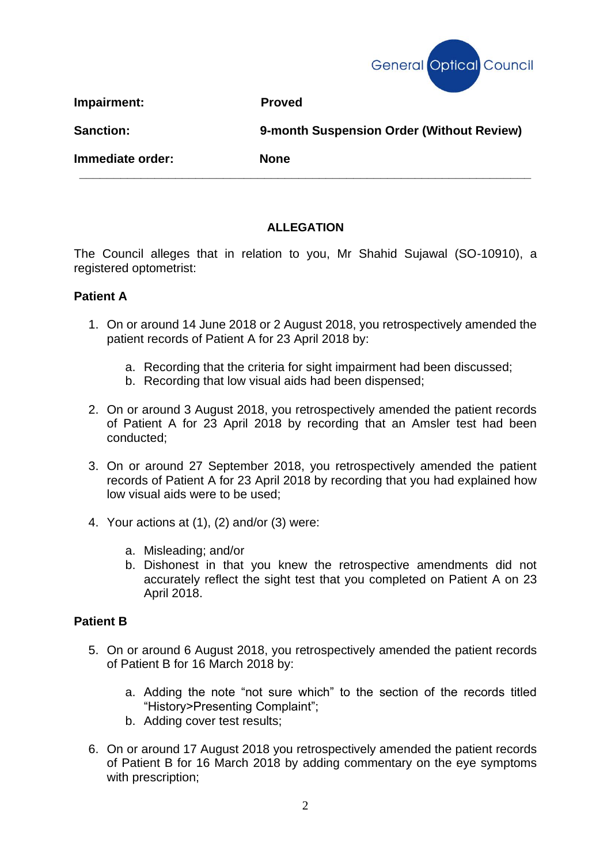

**Impairment:** Proved

**Sanction: 9-month Suspension Order (Without Review)**

**Immediate order: None**

# **ALLEGATION**

**\_\_\_\_\_\_\_\_\_\_\_\_\_\_\_\_\_\_\_\_\_\_\_\_\_\_\_\_\_\_\_\_\_\_\_\_\_\_\_\_\_\_\_\_\_\_\_\_\_\_\_\_\_\_\_\_\_\_\_\_\_\_\_\_\_\_**

The Council alleges that in relation to you, Mr Shahid Sujawal (SO-10910), a registered optometrist:

# **Patient A**

- 1. On or around 14 June 2018 or 2 August 2018, you retrospectively amended the patient records of Patient A for 23 April 2018 by:
	- a. Recording that the criteria for sight impairment had been discussed;
	- b. Recording that low visual aids had been dispensed;
- 2. On or around 3 August 2018, you retrospectively amended the patient records of Patient A for 23 April 2018 by recording that an Amsler test had been conducted;
- 3. On or around 27 September 2018, you retrospectively amended the patient records of Patient A for 23 April 2018 by recording that you had explained how low visual aids were to be used;
- 4. Your actions at (1), (2) and/or (3) were:
	- a. Misleading; and/or
	- b. Dishonest in that you knew the retrospective amendments did not accurately reflect the sight test that you completed on Patient A on 23 April 2018.

# **Patient B**

- 5. On or around 6 August 2018, you retrospectively amended the patient records of Patient B for 16 March 2018 by:
	- a. Adding the note "not sure which" to the section of the records titled "History>Presenting Complaint";
	- b. Adding cover test results;
- 6. On or around 17 August 2018 you retrospectively amended the patient records of Patient B for 16 March 2018 by adding commentary on the eye symptoms with prescription;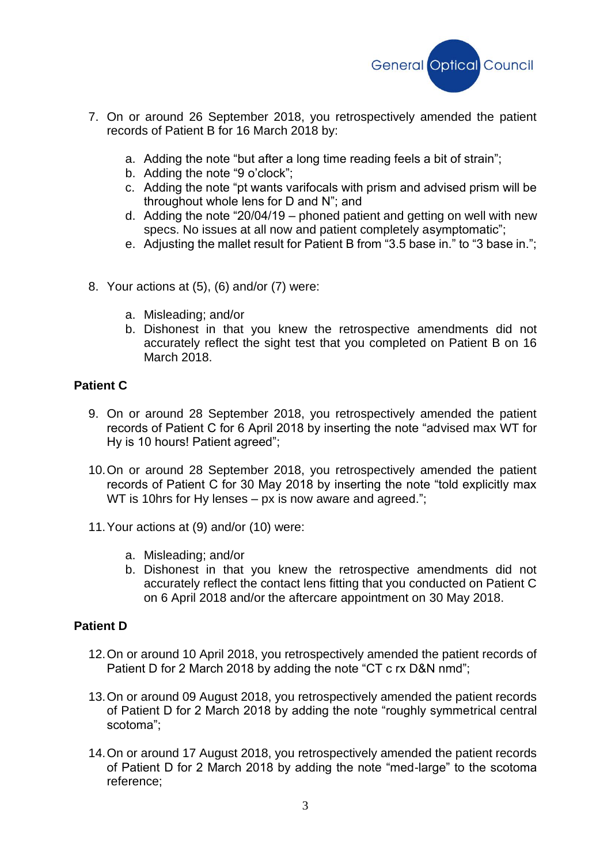

- 7. On or around 26 September 2018, you retrospectively amended the patient records of Patient B for 16 March 2018 by:
	- a. Adding the note "but after a long time reading feels a bit of strain";
	- b. Adding the note "9 o'clock";
	- c. Adding the note "pt wants varifocals with prism and advised prism will be throughout whole lens for D and N"; and
	- d. Adding the note "20/04/19 phoned patient and getting on well with new specs. No issues at all now and patient completely asymptomatic";
	- e. Adjusting the mallet result for Patient B from "3.5 base in." to "3 base in.";
- 8. Your actions at (5), (6) and/or (7) were:
	- a. Misleading; and/or
	- b. Dishonest in that you knew the retrospective amendments did not accurately reflect the sight test that you completed on Patient B on 16 March 2018.

# **Patient C**

- 9. On or around 28 September 2018, you retrospectively amended the patient records of Patient C for 6 April 2018 by inserting the note "advised max WT for Hy is 10 hours! Patient agreed";
- 10.On or around 28 September 2018, you retrospectively amended the patient records of Patient C for 30 May 2018 by inserting the note "told explicitly max WT is 10hrs for Hy lenses – px is now aware and agreed.";
- 11.Your actions at (9) and/or (10) were:
	- a. Misleading; and/or
	- b. Dishonest in that you knew the retrospective amendments did not accurately reflect the contact lens fitting that you conducted on Patient C on 6 April 2018 and/or the aftercare appointment on 30 May 2018.

# **Patient D**

- 12.On or around 10 April 2018, you retrospectively amended the patient records of Patient D for 2 March 2018 by adding the note "CT c rx D&N nmd";
- 13.On or around 09 August 2018, you retrospectively amended the patient records of Patient D for 2 March 2018 by adding the note "roughly symmetrical central scotoma";
- 14.On or around 17 August 2018, you retrospectively amended the patient records of Patient D for 2 March 2018 by adding the note "med-large" to the scotoma reference;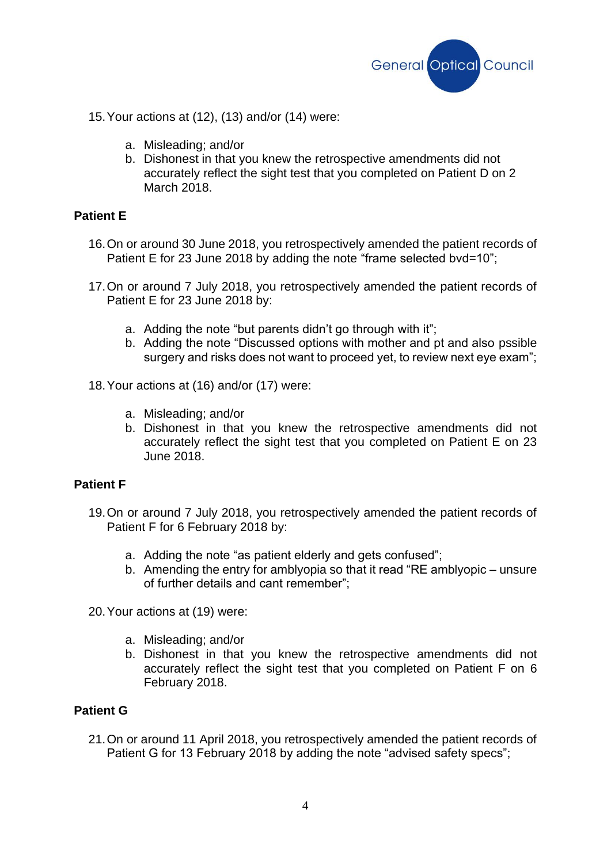

15.Your actions at (12), (13) and/or (14) were:

- a. Misleading; and/or
- b. Dishonest in that you knew the retrospective amendments did not accurately reflect the sight test that you completed on Patient D on 2 March 2018.

### **Patient E**

- 16.On or around 30 June 2018, you retrospectively amended the patient records of Patient E for 23 June 2018 by adding the note "frame selected byd=10";
- 17.On or around 7 July 2018, you retrospectively amended the patient records of Patient E for 23 June 2018 by:
	- a. Adding the note "but parents didn't go through with it";
	- b. Adding the note "Discussed options with mother and pt and also pssible surgery and risks does not want to proceed vet, to review next eve exam":
- 18.Your actions at (16) and/or (17) were:
	- a. Misleading; and/or
	- b. Dishonest in that you knew the retrospective amendments did not accurately reflect the sight test that you completed on Patient E on 23 June 2018.

### **Patient F**

- 19.On or around 7 July 2018, you retrospectively amended the patient records of Patient F for 6 February 2018 by:
	- a. Adding the note "as patient elderly and gets confused";
	- b. Amending the entry for amblyopia so that it read "RE amblyopic unsure of further details and cant remember";

20.Your actions at (19) were:

- a. Misleading; and/or
- b. Dishonest in that you knew the retrospective amendments did not accurately reflect the sight test that you completed on Patient F on 6 February 2018.

### **Patient G**

21.On or around 11 April 2018, you retrospectively amended the patient records of Patient G for 13 February 2018 by adding the note "advised safety specs";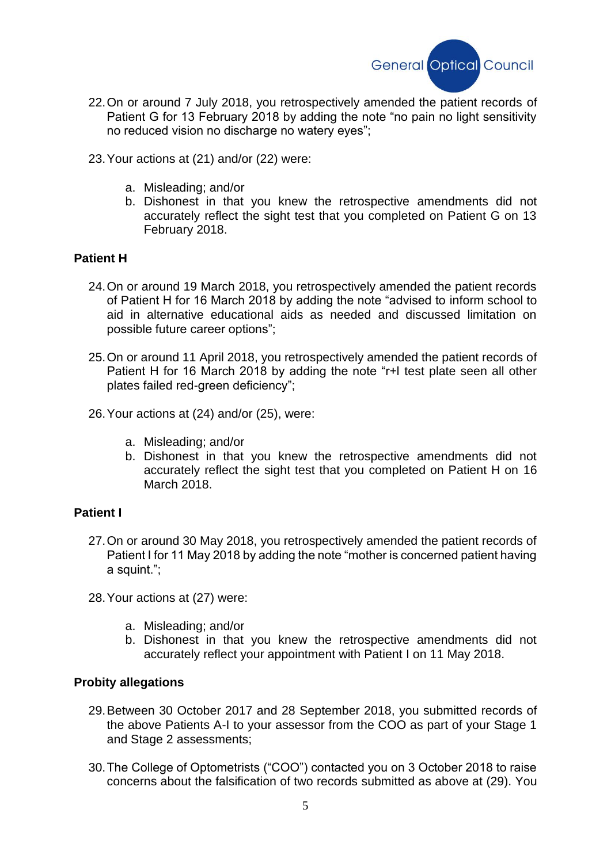

- 22.On or around 7 July 2018, you retrospectively amended the patient records of Patient G for 13 February 2018 by adding the note "no pain no light sensitivity no reduced vision no discharge no watery eyes";
- 23.Your actions at (21) and/or (22) were:
	- a. Misleading; and/or
	- b. Dishonest in that you knew the retrospective amendments did not accurately reflect the sight test that you completed on Patient G on 13 February 2018.

### **Patient H**

- 24.On or around 19 March 2018, you retrospectively amended the patient records of Patient H for 16 March 2018 by adding the note "advised to inform school to aid in alternative educational aids as needed and discussed limitation on possible future career options";
- 25.On or around 11 April 2018, you retrospectively amended the patient records of Patient H for 16 March 2018 by adding the note "r+l test plate seen all other plates failed red-green deficiency";
- 26.Your actions at (24) and/or (25), were:
	- a. Misleading; and/or
	- b. Dishonest in that you knew the retrospective amendments did not accurately reflect the sight test that you completed on Patient H on 16 March 2018.

### **Patient I**

- 27.On or around 30 May 2018, you retrospectively amended the patient records of Patient I for 11 May 2018 by adding the note "mother is concerned patient having a squint.";
- 28.Your actions at (27) were:
	- a. Misleading; and/or
	- b. Dishonest in that you knew the retrospective amendments did not accurately reflect your appointment with Patient I on 11 May 2018.

#### **Probity allegations**

- 29.Between 30 October 2017 and 28 September 2018, you submitted records of the above Patients A-I to your assessor from the COO as part of your Stage 1 and Stage 2 assessments;
- 30.The College of Optometrists ("COO") contacted you on 3 October 2018 to raise concerns about the falsification of two records submitted as above at (29). You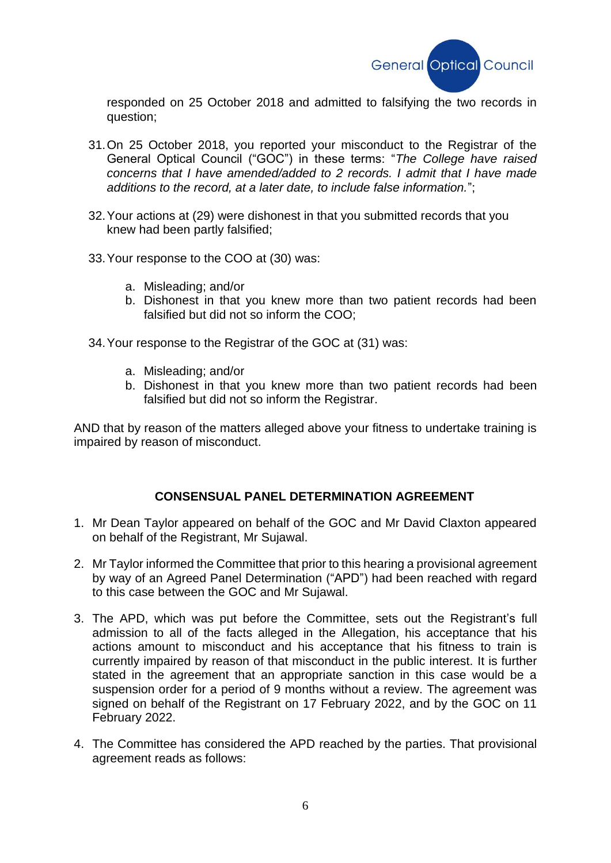

responded on 25 October 2018 and admitted to falsifying the two records in question;

- 31.On 25 October 2018, you reported your misconduct to the Registrar of the General Optical Council ("GOC") in these terms: "*The College have raised concerns that I have amended/added to 2 records. I admit that I have made additions to the record, at a later date, to include false information.*";
- 32.Your actions at (29) were dishonest in that you submitted records that you knew had been partly falsified;
- 33.Your response to the COO at (30) was:
	- a. Misleading; and/or
	- b. Dishonest in that you knew more than two patient records had been falsified but did not so inform the COO;
- 34.Your response to the Registrar of the GOC at (31) was:
	- a. Misleading; and/or
	- b. Dishonest in that you knew more than two patient records had been falsified but did not so inform the Registrar.

AND that by reason of the matters alleged above your fitness to undertake training is impaired by reason of misconduct.

### **CONSENSUAL PANEL DETERMINATION AGREEMENT**

- 1. Mr Dean Taylor appeared on behalf of the GOC and Mr David Claxton appeared on behalf of the Registrant, Mr Sujawal.
- 2. Mr Taylor informed the Committee that prior to this hearing a provisional agreement by way of an Agreed Panel Determination ("APD") had been reached with regard to this case between the GOC and Mr Sujawal.
- 3. The APD, which was put before the Committee, sets out the Registrant's full admission to all of the facts alleged in the Allegation, his acceptance that his actions amount to misconduct and his acceptance that his fitness to train is currently impaired by reason of that misconduct in the public interest. It is further stated in the agreement that an appropriate sanction in this case would be a suspension order for a period of 9 months without a review. The agreement was signed on behalf of the Registrant on 17 February 2022, and by the GOC on 11 February 2022.
- 4. The Committee has considered the APD reached by the parties. That provisional agreement reads as follows: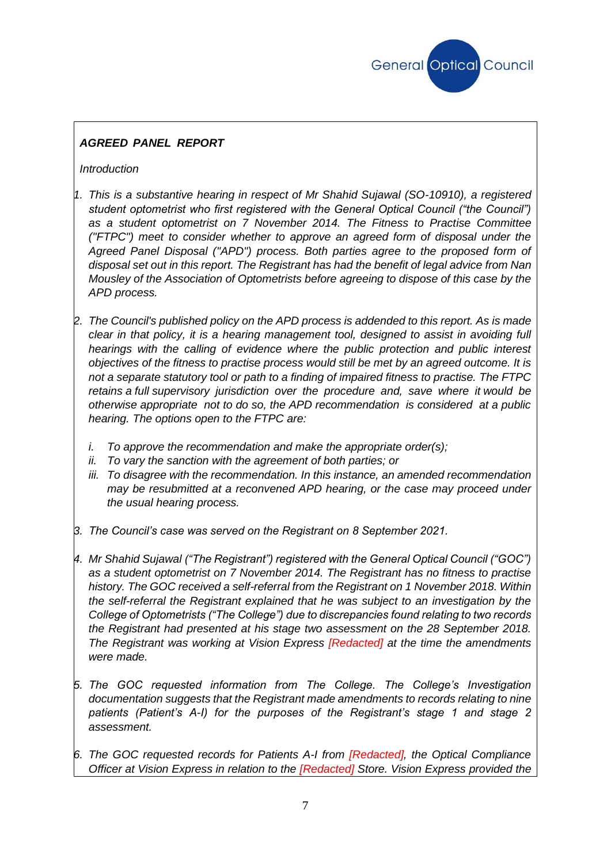

## *AGREED PANEL REPORT*

*Introduction*

- *1. This is a substantive hearing in respect of Mr Shahid Sujawal (SO-10910), a registered student optometrist who first registered with the General Optical Council ("the Council") as a student optometrist on 7 November 2014. The Fitness to Practise Committee ("FTPC") meet to consider whether to approve an agreed form of disposal under the Agreed Panel Disposal ("APD") process. Both parties agree to the proposed form of disposal set out in this report. The Registrant has had the benefit of legal advice from Nan Mousley of the Association of Optometrists before agreeing to dispose of this case by the APD process.*
- *2. The Council's published policy on the APD process is addended to this report. As is made clear in that policy, it is a hearing management tool, designed to assist in avoiding full hearings with the calling of evidence where the public protection and public interest objectives of the fitness to practise process would still be met by an agreed outcome. It is not a separate statutory tool or path to a finding of impaired fitness to practise. The FTPC retains a full supervisory jurisdiction over the procedure and, save where it would be otherwise appropriate not to do so, the APD recommendation is considered at a public hearing. The options open to the FTPC are:*
	- *i. To approve the recommendation and make the appropriate order(s);*
	- *ii. To vary the sanction with the agreement of both parties; or*
	- *iii. To disagree with the recommendation. In this instance, an amended recommendation may be resubmitted at a reconvened APD hearing, or the case may proceed under the usual hearing process.*
- *3. The Council's case was served on the Registrant on 8 September 2021.*
- *4. Mr Shahid Sujawal ("The Registrant") registered with the General Optical Council ("GOC") as a student optometrist on 7 November 2014. The Registrant has no fitness to practise history. The GOC received a self-referral from the Registrant on 1 November 2018. Within the self-referral the Registrant explained that he was subject to an investigation by the College of Optometrists ("The College") due to discrepancies found relating to two records the Registrant had presented at his stage two assessment on the 28 September 2018. The Registrant was working at Vision Express [Redacted] at the time the amendments were made.*
- *5. The GOC requested information from The College. The College's Investigation documentation suggests that the Registrant made amendments to records relating to nine patients (Patient's A-I) for the purposes of the Registrant's stage 1 and stage 2 assessment.*
- *6. The GOC requested records for Patients A-I from [Redacted], the Optical Compliance Officer at Vision Express in relation to the [Redacted] Store. Vision Express provided the*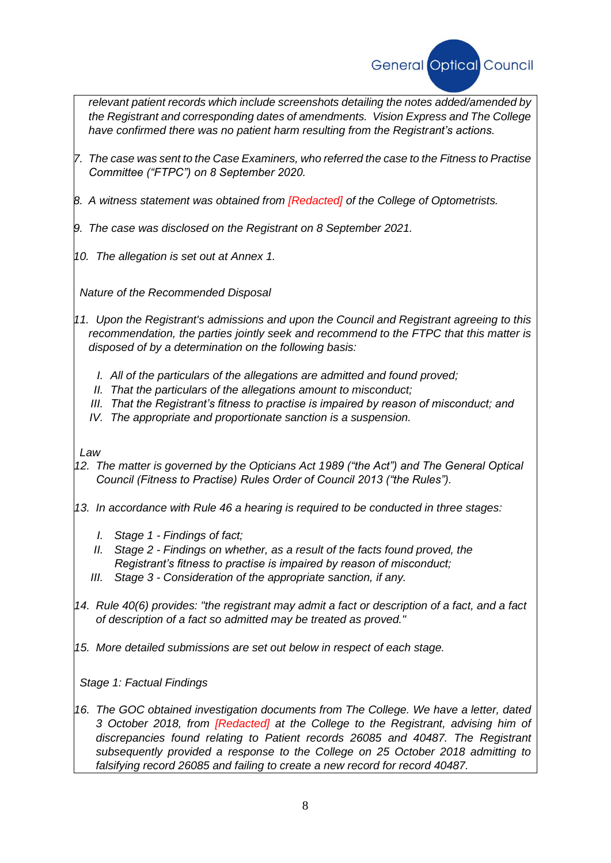

*relevant patient records which include screenshots detailing the notes added/amended by the Registrant and corresponding dates of amendments. Vision Express and The College have confirmed there was no patient harm resulting from the Registrant's actions.*

- *7. The case was sent to the Case Examiners, who referred the case to the Fitness to Practise Committee ("FTPC") on 8 September 2020.*
- *8. A witness statement was obtained from [Redacted] of the College of Optometrists.*
- *9. The case was disclosed on the Registrant on 8 September 2021.*
- *10. The allegation is set out at Annex 1.*

*Nature of the Recommended Disposal*

- *11. Upon the Registrant's admissions and upon the Council and Registrant agreeing to this recommendation, the parties jointly seek and recommend to the FTPC that this matter is disposed of by a determination on the following basis:*
	- *I. All of the particulars of the allegations are admitted and found proved;*
	- *II. That the particulars of the allegations amount to misconduct;*
	- *III. That the Registrant's fitness to practise is impaired by reason of misconduct; and*
	- *IV. The appropriate and proportionate sanction is a suspension.*

### *Law*

- *12. The matter is governed by the Opticians Act 1989 ("the Act") and The General Optical Council (Fitness to Practise) Rules Order of Council 2013 ("the Rules").*
- *13. In accordance with Rule 46 a hearing is required to be conducted in three stages:*
	- *I. Stage 1 - Findings of fact;*
	- *II. Stage 2 - Findings on whether, as a result of the facts found proved, the Registrant's fitness to practise is impaired by reason of misconduct;*
	- *III. Stage 3 - Consideration of the appropriate sanction, if any.*
- *14. Rule 40(6) provides: "the registrant may admit a fact or description of a fact, and a fact of description of a fact so admitted may be treated as proved."*
- *15. More detailed submissions are set out below in respect of each stage.*

*Stage 1: Factual Findings*

16. The GOC obtained investigation documents from The College. We have a letter, dated *3 October 2018, from [Redacted] at the College to the Registrant, advising him of discrepancies found relating to Patient records 26085 and 40487. The Registrant subsequently provided a response to the College on 25 October 2018 admitting to falsifying record 26085 and failing to create a new record for record 40487.*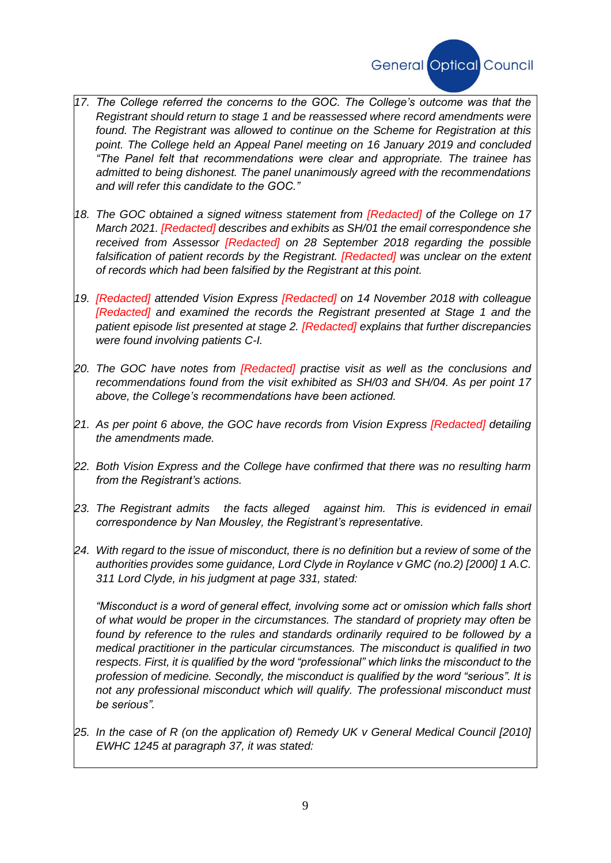

- *17. The College referred the concerns to the GOC. The College's outcome was that the Registrant should return to stage 1 and be reassessed where record amendments were found. The Registrant was allowed to continue on the Scheme for Registration at this point. The College held an Appeal Panel meeting on 16 January 2019 and concluded "The Panel felt that recommendations were clear and appropriate. The trainee has admitted to being dishonest. The panel unanimously agreed with the recommendations and will refer this candidate to the GOC."*
- *18. The GOC obtained a signed witness statement from [Redacted] of the College on 17 March 2021. [Redacted] describes and exhibits as SH/01 the email correspondence she received from Assessor [Redacted] on 28 September 2018 regarding the possible falsification of patient records by the Registrant. [Redacted] was unclear on the extent of records which had been falsified by the Registrant at this point.*
- *19. [Redacted] attended Vision Express [Redacted] on 14 November 2018 with colleague [Redacted] and examined the records the Registrant presented at Stage 1 and the patient episode list presented at stage 2. [Redacted] explains that further discrepancies were found involving patients C-I.*
- *20. The GOC have notes from [Redacted] practise visit as well as the conclusions and recommendations found from the visit exhibited as SH/03 and SH/04. As per point 17 above, the College's recommendations have been actioned.*
- *21. As per point 6 above, the GOC have records from Vision Express [Redacted] detailing the amendments made.*
- *22. Both Vision Express and the College have confirmed that there was no resulting harm from the Registrant's actions.*
- *23. The Registrant admits the facts alleged against him. This is evidenced in email correspondence by Nan Mousley, the Registrant's representative.*
- *24. With regard to the issue of misconduct, there is no definition but a review of some of the authorities provides some guidance, Lord Clyde in Roylance v GMC (no.2) [2000] 1 A.C. 311 Lord Clyde, in his judgment at page 331, stated:*

*"Misconduct is a word of general effect, involving some act or omission which falls short of what would be proper in the circumstances. The standard of propriety may often be found by reference to the rules and standards ordinarily required to be followed by a medical practitioner in the particular circumstances. The misconduct is qualified in two respects. First, it is qualified by the word "professional" which links the misconduct to the profession of medicine. Secondly, the misconduct is qualified by the word "serious". It is not any professional misconduct which will qualify. The professional misconduct must be serious".*

25. In the case of R (on the application of) Remedy UK v General Medical Council [2010] *EWHC 1245 at paragraph 37, it was stated:*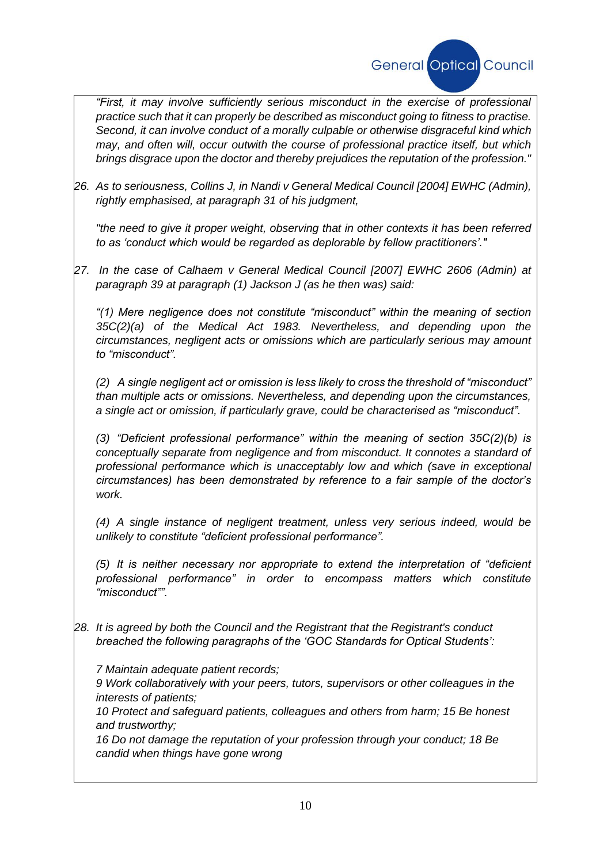

*"First, it may involve sufficiently serious misconduct in the exercise of professional practice such that it can properly be described as misconduct going to fitness to practise. Second, it can involve conduct of a morally culpable or otherwise disgraceful kind which may, and often will, occur outwith the course of professional practice itself, but which brings disgrace upon the doctor and thereby prejudices the reputation of the profession."*

*26. As to seriousness, Collins J, in Nandi v General Medical Council [2004] EWHC (Admin), rightly emphasised, at paragraph 31 of his judgment,*

*"the need to give it proper weight, observing that in other contexts it has been referred to as 'conduct which would be regarded as deplorable by fellow practitioners'."*

*27. In the case of Calhaem v General Medical Council [2007] EWHC 2606 (Admin) at paragraph 39 at paragraph (1) Jackson J (as he then was) said:*

*"(1) Mere negligence does not constitute "misconduct" within the meaning of section 35C(2)(a) of the Medical Act 1983. Nevertheless, and depending upon the circumstances, negligent acts or omissions which are particularly serious may amount to "misconduct".*

*(2) A single negligent act or omission is less likely to cross the threshold of "misconduct" than multiple acts or omissions. Nevertheless, and depending upon the circumstances, a single act or omission, if particularly grave, could be characterised as "misconduct".*

*(3) "Deficient professional performance" within the meaning of section 35C(2)(b) is conceptually separate from negligence and from misconduct. It connotes a standard of professional performance which is unacceptably low and which (save in exceptional circumstances) has been demonstrated by reference to a fair sample of the doctor's work.*

*(4) A single instance of negligent treatment, unless very serious indeed, would be unlikely to constitute "deficient professional performance".*

*(5) It is neither necessary nor appropriate to extend the interpretation of "deficient professional performance" in order to encompass matters which constitute "misconduct"".*

*28. It is agreed by both the Council and the Registrant that the Registrant's conduct breached the following paragraphs of the 'GOC Standards for Optical Students':*

*7 Maintain adequate patient records;*

*9 Work collaboratively with your peers, tutors, supervisors or other colleagues in the interests of patients;*

*10 Protect and safeguard patients, colleagues and others from harm; 15 Be honest and trustworthy;*

*16 Do not damage the reputation of your profession through your conduct; 18 Be candid when things have gone wrong*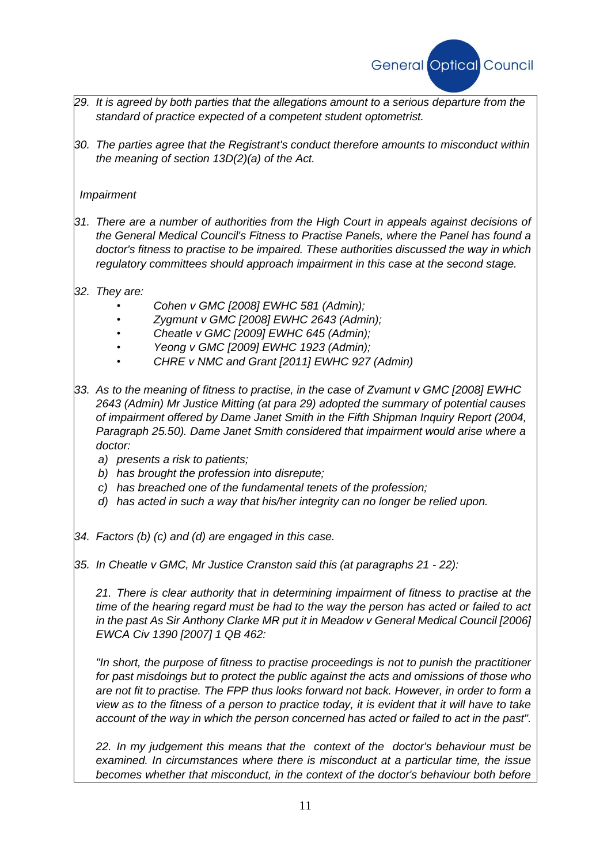

- *29. It is agreed by both parties that the allegations amount to a serious departure from the standard of practice expected of a competent student optometrist.*
- *30. The parties agree that the Registrant's conduct therefore amounts to misconduct within the meaning of section 13D(2)(a) of the Act.*

### *Impairment*

- *31. There are a number of authorities from the High Court in appeals against decisions of the General Medical Council's Fitness to Practise Panels, where the Panel has found a doctor's fitness to practise to be impaired. These authorities discussed the way in which regulatory committees should approach impairment in this case at the second stage.*
- *32. They are:*
	- *Cohen v GMC [2008] EWHC 581 (Admin);*
	- *Zygmunt v GMC [2008] EWHC 2643 (Admin);*
	- *Cheatle v GMC [2009] EWHC 645 (Admin);*
	- *Yeong v GMC [2009] EWHC 1923 (Admin);*
	- *CHRE v NMC and Grant [2011] EWHC 927 (Admin)*
- *33. As to the meaning of fitness to practise, in the case of Zvamunt v GMC [2008] EWHC 2643 (Admin) Mr Justice Mitting (at para 29) adopted the summary of potential causes of impairment offered by Dame Janet Smith in the Fifth Shipman Inquiry Report (2004, Paragraph 25.50). Dame Janet Smith considered that impairment would arise where a doctor:*
	- *a) presents a risk to patients;*
	- *b) has brought the profession into disrepute;*
	- *c) has breached one of the fundamental tenets of the profession;*
	- *d) has acted in such a way that his/her integrity can no longer be relied upon.*
- *34. Factors (b) (c) and (d) are engaged in this case.*
- *35. In Cheatle v GMC, Mr Justice Cranston said this (at paragraphs 21 - 22):*

*21. There is clear authority that in determining impairment of fitness to practise at the time of the hearing regard must be had to the way the person has acted or failed to act in the past As Sir Anthony Clarke MR put it in Meadow v General Medical Council [2006] EWCA Civ 1390 [2007] 1 QB 462:*

*"In short, the purpose of fitness to practise proceedings is not to punish the practitioner for past misdoings but to protect the public against the acts and omissions of those who are not fit to practise. The FPP thus looks forward not back. However, in order to form a view as to the fitness of a person to practice today, it is evident that it will have to take account of the way in which the person concerned has acted or failed to act in the past".*

*22. In my judgement this means that the context of the doctor's behaviour must be examined. In circumstances where there is misconduct at a particular time, the issue becomes whether that misconduct, in the context of the doctor's behaviour both before*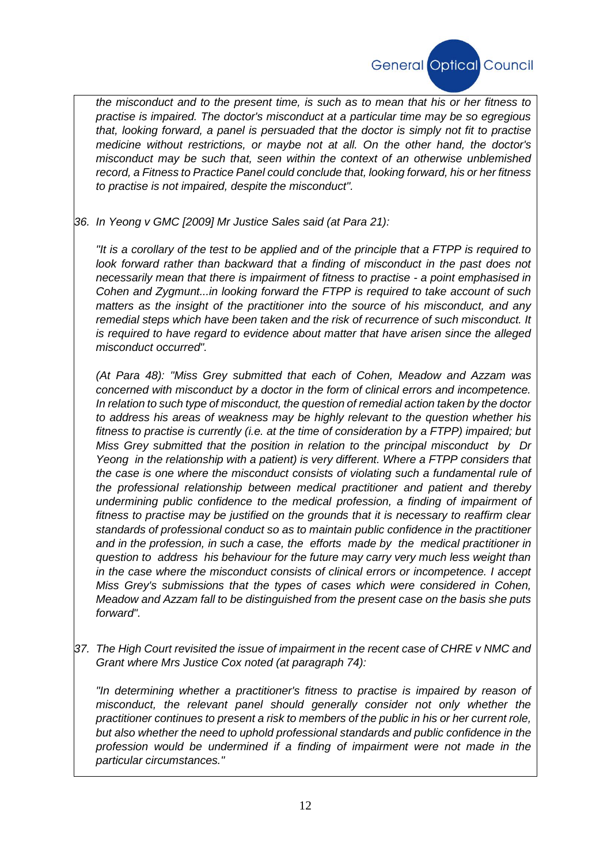

*the misconduct and to the present time, is such as to mean that his or her fitness to practise is impaired. The doctor's misconduct at a particular time may be so egregious that, looking forward, a panel is persuaded that the doctor is simply not fit to practise medicine without restrictions, or maybe not at all. On the other hand, the doctor's misconduct may be such that, seen within the context of an otherwise unblemished record, a Fitness to Practice Panel could conclude that, looking forward, his or her fitness to practise is not impaired, despite the misconduct".*

*36. In Yeong v GMC [2009] Mr Justice Sales said (at Para 21):*

*"It is a corollary of the test to be applied and of the principle that a FTPP is required to look forward rather than backward that a finding of misconduct in the past does not necessarily mean that there is impairment of fitness to practise - a point emphasised in Cohen and Zygmunt...in looking forward the FTPP is required to take account of such matters as the insight of the practitioner into the source of his misconduct, and any remedial steps which have been taken and the risk of recurrence of such misconduct. It is required to have regard to evidence about matter that have arisen since the alleged misconduct occurred".*

*(At Para 48): "Miss Grey submitted that each of Cohen, Meadow and Azzam was concerned with misconduct by a doctor in the form of clinical errors and incompetence. In relation to such type of misconduct, the question of remedial action taken by the doctor to address his areas of weakness may be highly relevant to the question whether his fitness to practise is currently (i.e. at the time of consideration by a FTPP) impaired; but Miss Grey submitted that the position in relation to the principal misconduct by Dr Yeong in the relationship with a patient) is very different. Where a FTPP considers that the case is one where the misconduct consists of violating such a fundamental rule of the professional relationship between medical practitioner and patient and thereby undermining public confidence to the medical profession, a finding of impairment of fitness to practise may be justified on the grounds that it is necessary to reaffirm clear standards of professional conduct so as to maintain public confidence in the practitioner and in the profession, in such a case, the efforts made by the medical practitioner in question to address his behaviour for the future may carry very much less weight than in the case where the misconduct consists of clinical errors or incompetence. I accept Miss Grey's submissions that the types of cases which were considered in Cohen, Meadow and Azzam fall to be distinguished from the present case on the basis she puts forward".*

*37. The High Court revisited the issue of impairment in the recent case of CHRE v NMC and Grant where Mrs Justice Cox noted (at paragraph 74):*

*"In determining whether a practitioner's fitness to practise is impaired by reason of misconduct, the relevant panel should generally consider not only whether the practitioner continues to present a risk to members of the public in his or her current role, but also whether the need to uphold professional standards and public confidence in the profession would be undermined if a finding of impairment were not made in the particular circumstances."*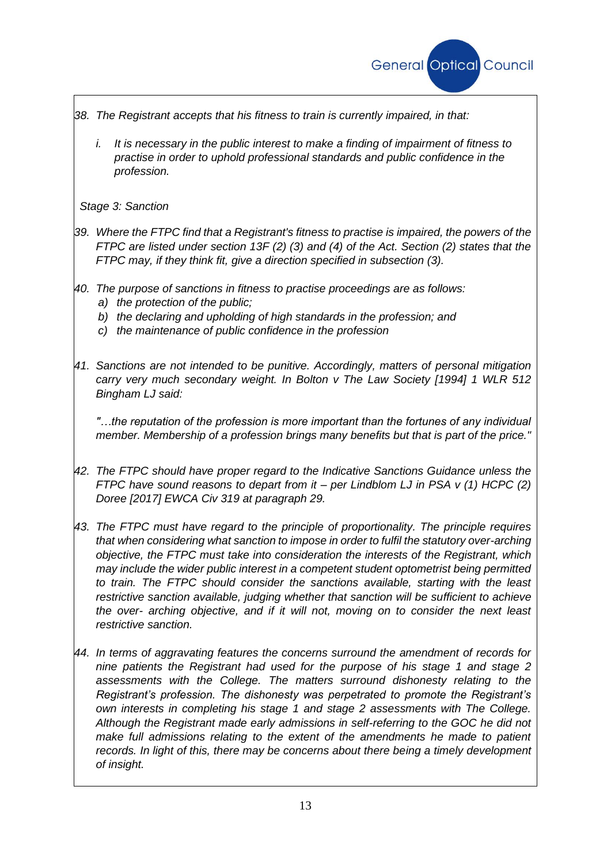

- *38. The Registrant accepts that his fitness to train is currently impaired, in that:*
	- *i. It is necessary in the public interest to make a finding of impairment of fitness to practise in order to uphold professional standards and public confidence in the profession.*

*Stage 3: Sanction*

- *39. Where the FTPC find that a Registrant's fitness to practise is impaired, the powers of the FTPC are listed under section 13F (2) (3) and (4) of the Act. Section (2) states that the FTPC may, if they think fit, give a direction specified in subsection (3).*
- *40. The purpose of sanctions in fitness to practise proceedings are as follows:*
	- *a) the protection of the public;*
	- *b) the declaring and upholding of high standards in the profession; and*
	- *c) the maintenance of public confidence in the profession*
- *41. Sanctions are not intended to be punitive. Accordingly, matters of personal mitigation carry very much secondary weight. In Bolton v The Law Society [1994] 1 WLR 512 Bingham LJ said:*

*"…the reputation of the profession is more important than the fortunes of any individual member. Membership of a profession brings many benefits but that is part of the price."*

- *42. The FTPC should have proper regard to the Indicative Sanctions Guidance unless the FTPC have sound reasons to depart from it – per Lindblom LJ in PSA v (1) HCPC (2) Doree [2017] EWCA Civ 319 at paragraph 29.*
- *43. The FTPC must have regard to the principle of proportionality. The principle requires that when considering what sanction to impose in order to fulfil the statutory over-arching objective, the FTPC must take into consideration the interests of the Registrant, which may include the wider public interest in a competent student optometrist being permitted to train. The FTPC should consider the sanctions available, starting with the least restrictive sanction available, judging whether that sanction will be sufficient to achieve the over- arching objective, and if it will not, moving on to consider the next least restrictive sanction.*
- *44. In terms of aggravating features the concerns surround the amendment of records for nine patients the Registrant had used for the purpose of his stage 1 and stage 2 assessments with the College. The matters surround dishonesty relating to the Registrant's profession. The dishonesty was perpetrated to promote the Registrant's own interests in completing his stage 1 and stage 2 assessments with The College. Although the Registrant made early admissions in self-referring to the GOC he did not make full admissions relating to the extent of the amendments he made to patient records. In light of this, there may be concerns about there being a timely development of insight.*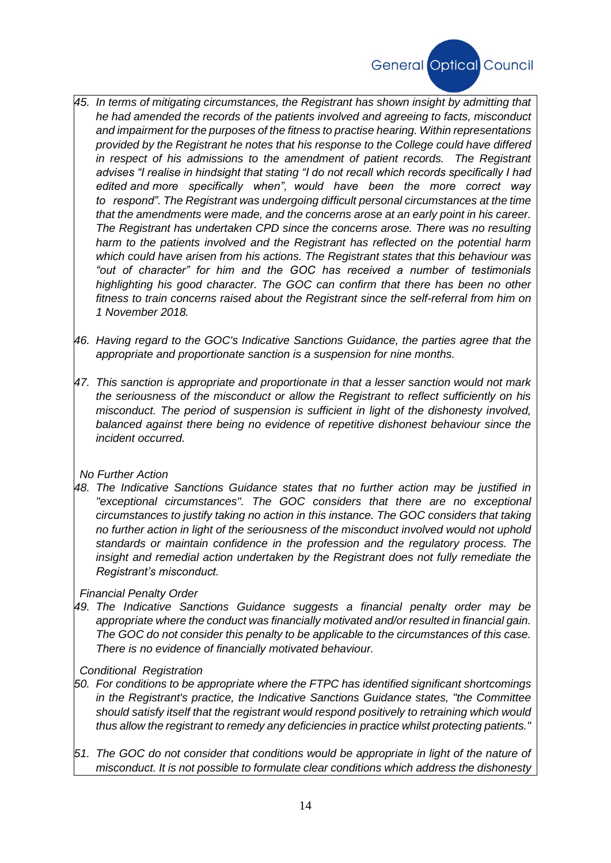

- *45. In terms of mitigating circumstances, the Registrant has shown insight by admitting that he had amended the records of the patients involved and agreeing to facts, misconduct and impairment for the purposes of the fitness to practise hearing. Within representations provided by the Registrant he notes that his response to the College could have differed in respect of his admissions to the amendment of patient records. The Registrant advises "I realise in hindsight that stating "I do not recall which records specifically I had edited and more specifically when", would have been the more correct way to respond". The Registrant was undergoing difficult personal circumstances at the time that the amendments were made, and the concerns arose at an early point in his career. The Registrant has undertaken CPD since the concerns arose. There was no resulting harm to the patients involved and the Registrant has reflected on the potential harm which could have arisen from his actions. The Registrant states that this behaviour was "out of character" for him and the GOC has received a number of testimonials highlighting his good character. The GOC can confirm that there has been no other fitness to train concerns raised about the Registrant since the self-referral from him on 1 November 2018.*
- *46. Having regard to the GOC's Indicative Sanctions Guidance, the parties agree that the appropriate and proportionate sanction is a suspension for nine months.*
- *47. This sanction is appropriate and proportionate in that a lesser sanction would not mark the seriousness of the misconduct or allow the Registrant to reflect sufficiently on his misconduct. The period of suspension is sufficient in light of the dishonesty involved, balanced against there being no evidence of repetitive dishonest behaviour since the incident occurred.*

#### *No Further Action*

*48. The Indicative Sanctions Guidance states that no further action may be justified in "exceptional circumstances". The GOC considers that there are no exceptional circumstances to justify taking no action in this instance. The GOC considers that taking no further action in light of the seriousness of the misconduct involved would not uphold standards or maintain confidence in the profession and the regulatory process. The insight and remedial action undertaken by the Registrant does not fully remediate the Registrant's misconduct.*

#### *Financial Penalty Order*

*49. The Indicative Sanctions Guidance suggests a financial penalty order may be appropriate where the conduct was financially motivated and/or resulted in financial gain. The GOC do not consider this penalty to be applicable to the circumstances of this case. There is no evidence of financially motivated behaviour.*

#### *Conditional Registration*

- *50. For conditions to be appropriate where the FTPC has identified significant shortcomings in the Registrant's practice, the Indicative Sanctions Guidance states, "the Committee should satisfy itself that the registrant would respond positively to retraining which would thus allow the registrant to remedy any deficiencies in practice whilst protecting patients."*
- *51. The GOC do not consider that conditions would be appropriate in light of the nature of misconduct. It is not possible to formulate clear conditions which address the dishonesty*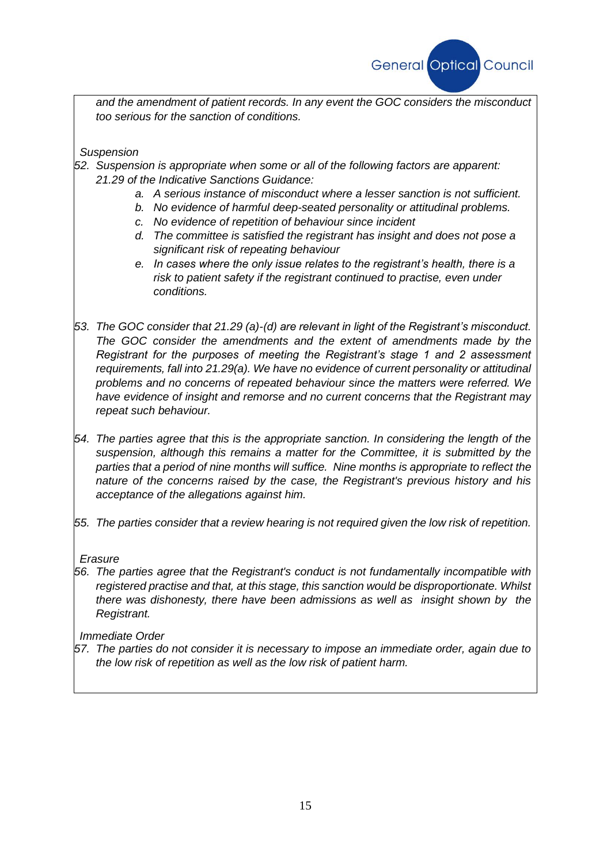

*and the amendment of patient records. In any event the GOC considers the misconduct too serious for the sanction of conditions.*

*Suspension*

- *52. Suspension is appropriate when some or all of the following factors are apparent: 21.29 of the Indicative Sanctions Guidance:*
	- *a. A serious instance of misconduct where a lesser sanction is not sufficient.*
	- *b. No evidence of harmful deep-seated personality or attitudinal problems.*
	- *c. No evidence of repetition of behaviour since incident*
	- *d. The committee is satisfied the registrant has insight and does not pose a significant risk of repeating behaviour*
	- *e. In cases where the only issue relates to the registrant's health, there is a risk to patient safety if the registrant continued to practise, even under conditions.*
- *53. The GOC consider that 21.29 (a)-(d) are relevant in light of the Registrant's misconduct. The GOC consider the amendments and the extent of amendments made by the Registrant for the purposes of meeting the Registrant's stage 1 and 2 assessment requirements, fall into 21.29(a). We have no evidence of current personality or attitudinal problems and no concerns of repeated behaviour since the matters were referred. We have evidence of insight and remorse and no current concerns that the Registrant may repeat such behaviour.*
- *54. The parties agree that this is the appropriate sanction. In considering the length of the suspension, although this remains a matter for the Committee, it is submitted by the parties that a period of nine months will suffice. Nine months is appropriate to reflect the nature of the concerns raised by the case, the Registrant's previous history and his acceptance of the allegations against him.*
- *55. The parties consider that a review hearing is not required given the low risk of repetition.*

#### *Erasure*

*56. The parties agree that the Registrant's conduct is not fundamentally incompatible with registered practise and that, at this stage, this sanction would be disproportionate. Whilst there was dishonesty, there have been admissions as well as insight shown by the Registrant.*

*Immediate Order*

*57. The parties do not consider it is necessary to impose an immediate order, again due to the low risk of repetition as well as the low risk of patient harm.*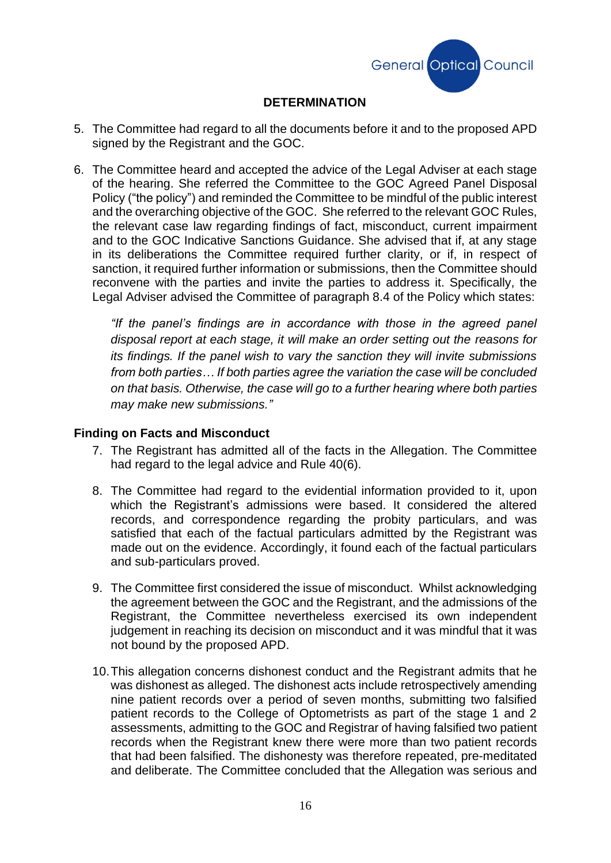

## **DETERMINATION**

- 5. The Committee had regard to all the documents before it and to the proposed APD signed by the Registrant and the GOC.
- 6. The Committee heard and accepted the advice of the Legal Adviser at each stage of the hearing. She referred the Committee to the GOC Agreed Panel Disposal Policy ("the policy") and reminded the Committee to be mindful of the public interest and the overarching objective of the GOC. She referred to the relevant GOC Rules, the relevant case law regarding findings of fact, misconduct, current impairment and to the GOC Indicative Sanctions Guidance. She advised that if, at any stage in its deliberations the Committee required further clarity, or if, in respect of sanction, it required further information or submissions, then the Committee should reconvene with the parties and invite the parties to address it. Specifically, the Legal Adviser advised the Committee of paragraph 8.4 of the Policy which states:

*"If the panel's findings are in accordance with those in the agreed panel disposal report at each stage, it will make an order setting out the reasons for its findings. If the panel wish to vary the sanction they will invite submissions from both parties… If both parties agree the variation the case will be concluded on that basis. Otherwise, the case will go to a further hearing where both parties may make new submissions."*

#### **Finding on Facts and Misconduct**

- 7. The Registrant has admitted all of the facts in the Allegation. The Committee had regard to the legal advice and Rule 40(6).
- 8. The Committee had regard to the evidential information provided to it, upon which the Registrant's admissions were based. It considered the altered records, and correspondence regarding the probity particulars, and was satisfied that each of the factual particulars admitted by the Registrant was made out on the evidence. Accordingly, it found each of the factual particulars and sub-particulars proved.
- 9. The Committee first considered the issue of misconduct. Whilst acknowledging the agreement between the GOC and the Registrant, and the admissions of the Registrant, the Committee nevertheless exercised its own independent judgement in reaching its decision on misconduct and it was mindful that it was not bound by the proposed APD.
- 10.This allegation concerns dishonest conduct and the Registrant admits that he was dishonest as alleged. The dishonest acts include retrospectively amending nine patient records over a period of seven months, submitting two falsified patient records to the College of Optometrists as part of the stage 1 and 2 assessments, admitting to the GOC and Registrar of having falsified two patient records when the Registrant knew there were more than two patient records that had been falsified. The dishonesty was therefore repeated, pre-meditated and deliberate. The Committee concluded that the Allegation was serious and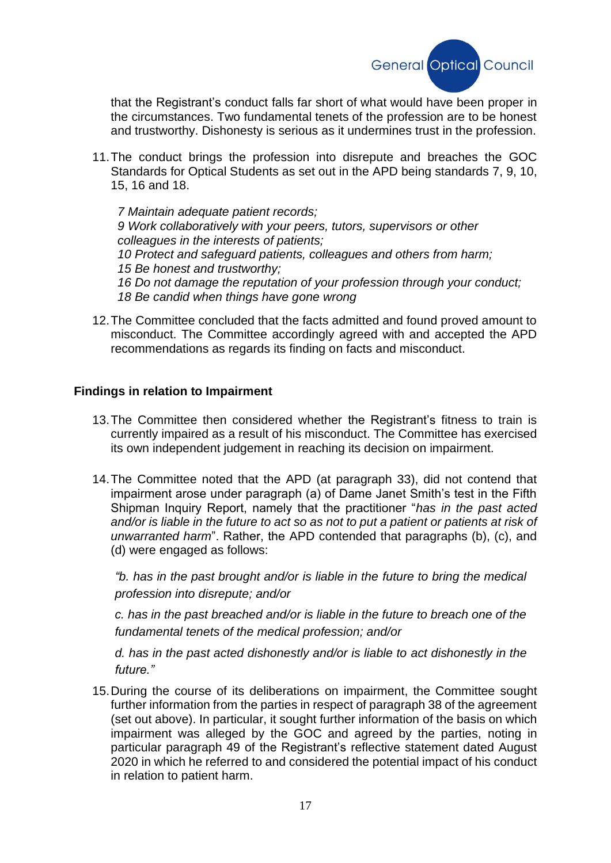

that the Registrant's conduct falls far short of what would have been proper in the circumstances. Two fundamental tenets of the profession are to be honest and trustworthy. Dishonesty is serious as it undermines trust in the profession.

11.The conduct brings the profession into disrepute and breaches the GOC Standards for Optical Students as set out in the APD being standards 7, 9, 10, 15, 16 and 18.

*7 Maintain adequate patient records; 9 Work collaboratively with your peers, tutors, supervisors or other colleagues in the interests of patients; 10 Protect and safeguard patients, colleagues and others from harm; 15 Be honest and trustworthy; 16 Do not damage the reputation of your profession through your conduct; 18 Be candid when things have gone wrong*

12.The Committee concluded that the facts admitted and found proved amount to misconduct. The Committee accordingly agreed with and accepted the APD recommendations as regards its finding on facts and misconduct.

## **Findings in relation to Impairment**

- 13.The Committee then considered whether the Registrant's fitness to train is currently impaired as a result of his misconduct. The Committee has exercised its own independent judgement in reaching its decision on impairment.
- 14.The Committee noted that the APD (at paragraph 33), did not contend that impairment arose under paragraph (a) of Dame Janet Smith's test in the Fifth Shipman Inquiry Report, namely that the practitioner "*has in the past acted and/or is liable in the future to act so as not to put a patient or patients at risk of unwarranted harm*". Rather, the APD contended that paragraphs (b), (c), and (d) were engaged as follows:

*"b. has in the past brought and/or is liable in the future to bring the medical profession into disrepute; and/or*

*c. has in the past breached and/or is liable in the future to breach one of the fundamental tenets of the medical profession; and/or*

*d. has in the past acted dishonestly and/or is liable to act dishonestly in the future."*

15.During the course of its deliberations on impairment, the Committee sought further information from the parties in respect of paragraph 38 of the agreement (set out above). In particular, it sought further information of the basis on which impairment was alleged by the GOC and agreed by the parties, noting in particular paragraph 49 of the Registrant's reflective statement dated August 2020 in which he referred to and considered the potential impact of his conduct in relation to patient harm.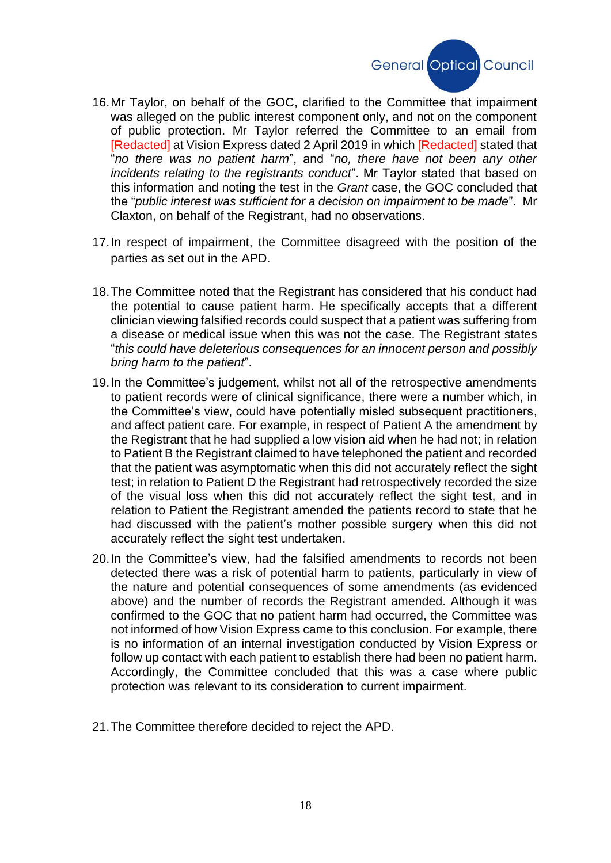

- 16.Mr Taylor, on behalf of the GOC, clarified to the Committee that impairment was alleged on the public interest component only, and not on the component of public protection. Mr Taylor referred the Committee to an email from [Redacted] at Vision Express dated 2 April 2019 in which [Redacted] stated that "*no there was no patient harm*", and "*no, there have not been any other incidents relating to the registrants conduct*". Mr Taylor stated that based on this information and noting the test in the *Grant* case, the GOC concluded that the "*public interest was sufficient for a decision on impairment to be made*". Mr Claxton, on behalf of the Registrant, had no observations.
- 17.In respect of impairment, the Committee disagreed with the position of the parties as set out in the APD.
- 18.The Committee noted that the Registrant has considered that his conduct had the potential to cause patient harm. He specifically accepts that a different clinician viewing falsified records could suspect that a patient was suffering from a disease or medical issue when this was not the case. The Registrant states "*this could have deleterious consequences for an innocent person and possibly bring harm to the patient*".
- 19.In the Committee's judgement, whilst not all of the retrospective amendments to patient records were of clinical significance, there were a number which, in the Committee's view, could have potentially misled subsequent practitioners, and affect patient care. For example, in respect of Patient A the amendment by the Registrant that he had supplied a low vision aid when he had not; in relation to Patient B the Registrant claimed to have telephoned the patient and recorded that the patient was asymptomatic when this did not accurately reflect the sight test; in relation to Patient D the Registrant had retrospectively recorded the size of the visual loss when this did not accurately reflect the sight test, and in relation to Patient the Registrant amended the patients record to state that he had discussed with the patient's mother possible surgery when this did not accurately reflect the sight test undertaken.
- 20.In the Committee's view, had the falsified amendments to records not been detected there was a risk of potential harm to patients, particularly in view of the nature and potential consequences of some amendments (as evidenced above) and the number of records the Registrant amended. Although it was confirmed to the GOC that no patient harm had occurred, the Committee was not informed of how Vision Express came to this conclusion. For example, there is no information of an internal investigation conducted by Vision Express or follow up contact with each patient to establish there had been no patient harm. Accordingly, the Committee concluded that this was a case where public protection was relevant to its consideration to current impairment.
- 21.The Committee therefore decided to reject the APD.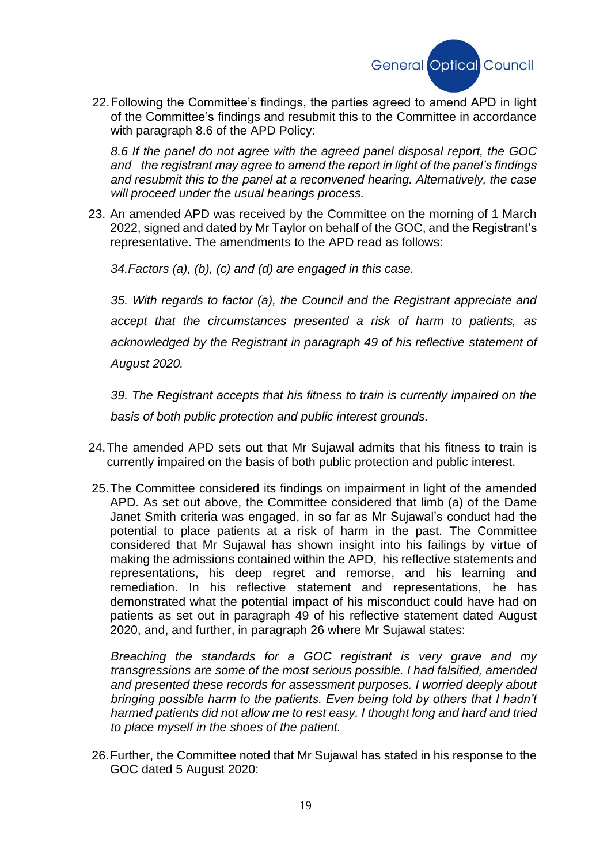

22.Following the Committee's findings, the parties agreed to amend APD in light of the Committee's findings and resubmit this to the Committee in accordance with paragraph 8.6 of the APD Policy:

*8.6 If the panel do not agree with the agreed panel disposal report, the GOC and the registrant may agree to amend the report in light of the panel's findings and resubmit this to the panel at a reconvened hearing. Alternatively, the case will proceed under the usual hearings process.*

23. An amended APD was received by the Committee on the morning of 1 March 2022, signed and dated by Mr Taylor on behalf of the GOC, and the Registrant's representative. The amendments to the APD read as follows:

*34.Factors (a), (b), (c) and (d) are engaged in this case.*

*35. With regards to factor (a), the Council and the Registrant appreciate and accept that the circumstances presented a risk of harm to patients, as acknowledged by the Registrant in paragraph 49 of his reflective statement of August 2020.*

*39. The Registrant accepts that his fitness to train is currently impaired on the basis of both public protection and public interest grounds.*

- 24.The amended APD sets out that Mr Sujawal admits that his fitness to train is currently impaired on the basis of both public protection and public interest.
- 25.The Committee considered its findings on impairment in light of the amended APD. As set out above, the Committee considered that limb (a) of the Dame Janet Smith criteria was engaged, in so far as Mr Sujawal's conduct had the potential to place patients at a risk of harm in the past. The Committee considered that Mr Sujawal has shown insight into his failings by virtue of making the admissions contained within the APD, his reflective statements and representations, his deep regret and remorse, and his learning and remediation. In his reflective statement and representations, he has demonstrated what the potential impact of his misconduct could have had on patients as set out in paragraph 49 of his reflective statement dated August 2020, and, and further, in paragraph 26 where Mr Sujawal states:

*Breaching the standards for a GOC registrant is very grave and my transgressions are some of the most serious possible. I had falsified, amended and presented these records for assessment purposes. I worried deeply about bringing possible harm to the patients. Even being told by others that I hadn't harmed patients did not allow me to rest easy. I thought long and hard and tried to place myself in the shoes of the patient.*

26.Further, the Committee noted that Mr Sujawal has stated in his response to the GOC dated 5 August 2020: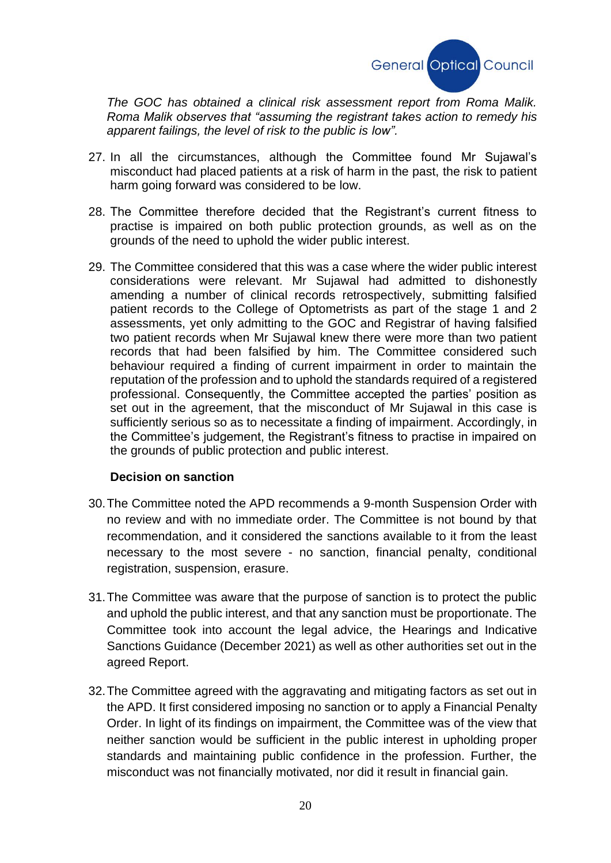

*The GOC has obtained a clinical risk assessment report from Roma Malik. Roma Malik observes that "assuming the registrant takes action to remedy his apparent failings, the level of risk to the public is low".*

- 27. In all the circumstances, although the Committee found Mr Sujawal's misconduct had placed patients at a risk of harm in the past, the risk to patient harm going forward was considered to be low.
- 28. The Committee therefore decided that the Registrant's current fitness to practise is impaired on both public protection grounds, as well as on the grounds of the need to uphold the wider public interest.
- 29. The Committee considered that this was a case where the wider public interest considerations were relevant. Mr Sujawal had admitted to dishonestly amending a number of clinical records retrospectively, submitting falsified patient records to the College of Optometrists as part of the stage 1 and 2 assessments, yet only admitting to the GOC and Registrar of having falsified two patient records when Mr Sujawal knew there were more than two patient records that had been falsified by him. The Committee considered such behaviour required a finding of current impairment in order to maintain the reputation of the profession and to uphold the standards required of a registered professional. Consequently, the Committee accepted the parties' position as set out in the agreement, that the misconduct of Mr Sujawal in this case is sufficiently serious so as to necessitate a finding of impairment. Accordingly, in the Committee's judgement, the Registrant's fitness to practise in impaired on the grounds of public protection and public interest.

#### **Decision on sanction**

- 30.The Committee noted the APD recommends a 9-month Suspension Order with no review and with no immediate order. The Committee is not bound by that recommendation, and it considered the sanctions available to it from the least necessary to the most severe - no sanction, financial penalty, conditional registration, suspension, erasure.
- 31.The Committee was aware that the purpose of sanction is to protect the public and uphold the public interest, and that any sanction must be proportionate. The Committee took into account the legal advice, the Hearings and Indicative Sanctions Guidance (December 2021) as well as other authorities set out in the agreed Report.
- 32.The Committee agreed with the aggravating and mitigating factors as set out in the APD. It first considered imposing no sanction or to apply a Financial Penalty Order. In light of its findings on impairment, the Committee was of the view that neither sanction would be sufficient in the public interest in upholding proper standards and maintaining public confidence in the profession. Further, the misconduct was not financially motivated, nor did it result in financial gain.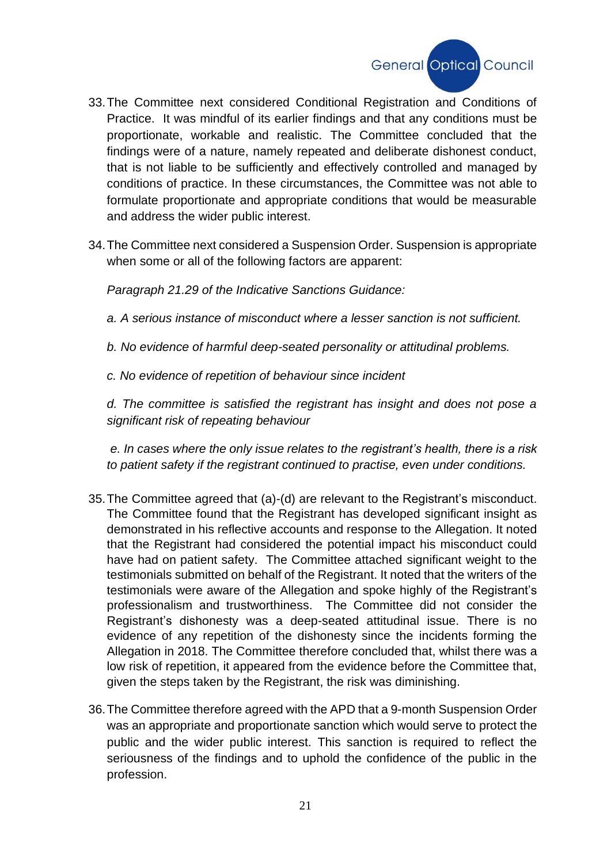

- 33.The Committee next considered Conditional Registration and Conditions of Practice. It was mindful of its earlier findings and that any conditions must be proportionate, workable and realistic. The Committee concluded that the findings were of a nature, namely repeated and deliberate dishonest conduct, that is not liable to be sufficiently and effectively controlled and managed by conditions of practice. In these circumstances, the Committee was not able to formulate proportionate and appropriate conditions that would be measurable and address the wider public interest.
- 34.The Committee next considered a Suspension Order. Suspension is appropriate when some or all of the following factors are apparent:

*Paragraph 21.29 of the Indicative Sanctions Guidance:* 

*a. A serious instance of misconduct where a lesser sanction is not sufficient.* 

*b. No evidence of harmful deep-seated personality or attitudinal problems.* 

*c. No evidence of repetition of behaviour since incident* 

*d. The committee is satisfied the registrant has insight and does not pose a significant risk of repeating behaviour*

*e. In cases where the only issue relates to the registrant's health, there is a risk to patient safety if the registrant continued to practise, even under conditions.* 

- 35.The Committee agreed that (a)-(d) are relevant to the Registrant's misconduct. The Committee found that the Registrant has developed significant insight as demonstrated in his reflective accounts and response to the Allegation. It noted that the Registrant had considered the potential impact his misconduct could have had on patient safety. The Committee attached significant weight to the testimonials submitted on behalf of the Registrant. It noted that the writers of the testimonials were aware of the Allegation and spoke highly of the Registrant's professionalism and trustworthiness. The Committee did not consider the Registrant's dishonesty was a deep-seated attitudinal issue. There is no evidence of any repetition of the dishonesty since the incidents forming the Allegation in 2018. The Committee therefore concluded that, whilst there was a low risk of repetition, it appeared from the evidence before the Committee that, given the steps taken by the Registrant, the risk was diminishing.
- 36.The Committee therefore agreed with the APD that a 9-month Suspension Order was an appropriate and proportionate sanction which would serve to protect the public and the wider public interest. This sanction is required to reflect the seriousness of the findings and to uphold the confidence of the public in the profession.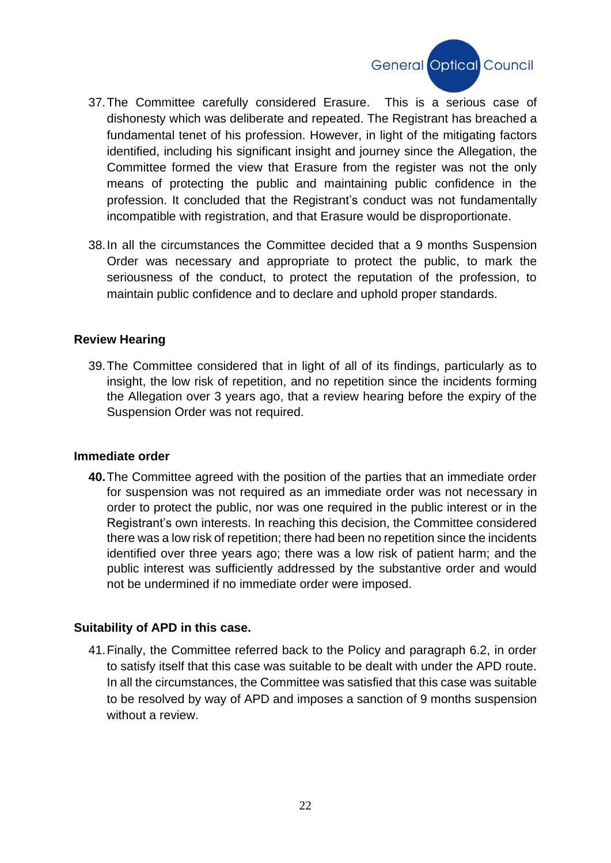

- 37.The Committee carefully considered Erasure. This is a serious case of dishonesty which was deliberate and repeated. The Registrant has breached a fundamental tenet of his profession. However, in light of the mitigating factors identified, including his significant insight and journey since the Allegation, the Committee formed the view that Erasure from the register was not the only means of protecting the public and maintaining public confidence in the profession. It concluded that the Registrant's conduct was not fundamentally incompatible with registration, and that Erasure would be disproportionate.
- 38.In all the circumstances the Committee decided that a 9 months Suspension Order was necessary and appropriate to protect the public, to mark the seriousness of the conduct, to protect the reputation of the profession, to maintain public confidence and to declare and uphold proper standards.

### **Review Hearing**

39.The Committee considered that in light of all of its findings, particularly as to insight, the low risk of repetition, and no repetition since the incidents forming the Allegation over 3 years ago, that a review hearing before the expiry of the Suspension Order was not required.

#### **Immediate order**

**40.**The Committee agreed with the position of the parties that an immediate order for suspension was not required as an immediate order was not necessary in order to protect the public, nor was one required in the public interest or in the Registrant's own interests. In reaching this decision, the Committee considered there was a low risk of repetition; there had been no repetition since the incidents identified over three years ago; there was a low risk of patient harm; and the public interest was sufficiently addressed by the substantive order and would not be undermined if no immediate order were imposed.

#### **Suitability of APD in this case.**

41.Finally, the Committee referred back to the Policy and paragraph 6.2, in order to satisfy itself that this case was suitable to be dealt with under the APD route. In all the circumstances, the Committee was satisfied that this case was suitable to be resolved by way of APD and imposes a sanction of 9 months suspension without a review.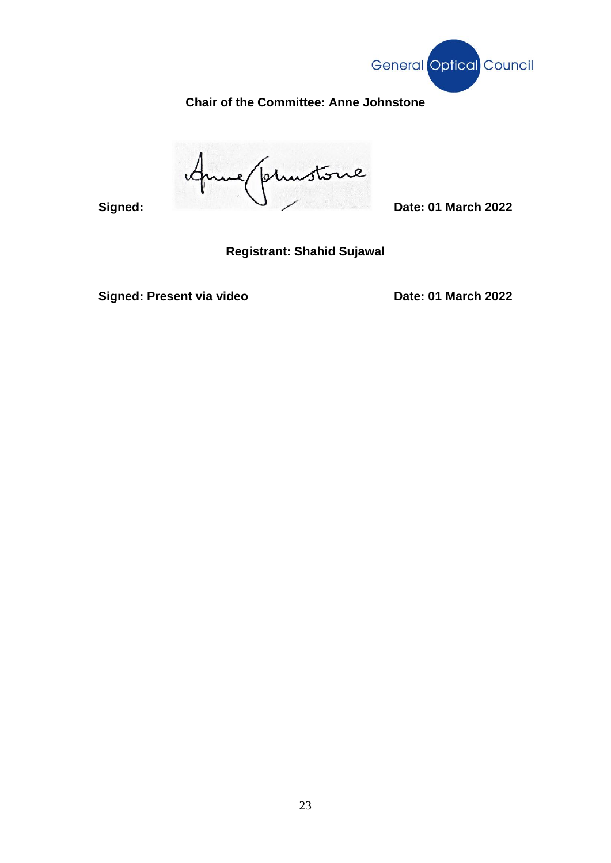

# **Chair of the Committee: Anne Johnstone**

**Signed: Date: 01 March 2022**  $\epsilon$ 

**Registrant: Shahid Sujawal** 

**Signed: Present via video Date: 01 March 2022**